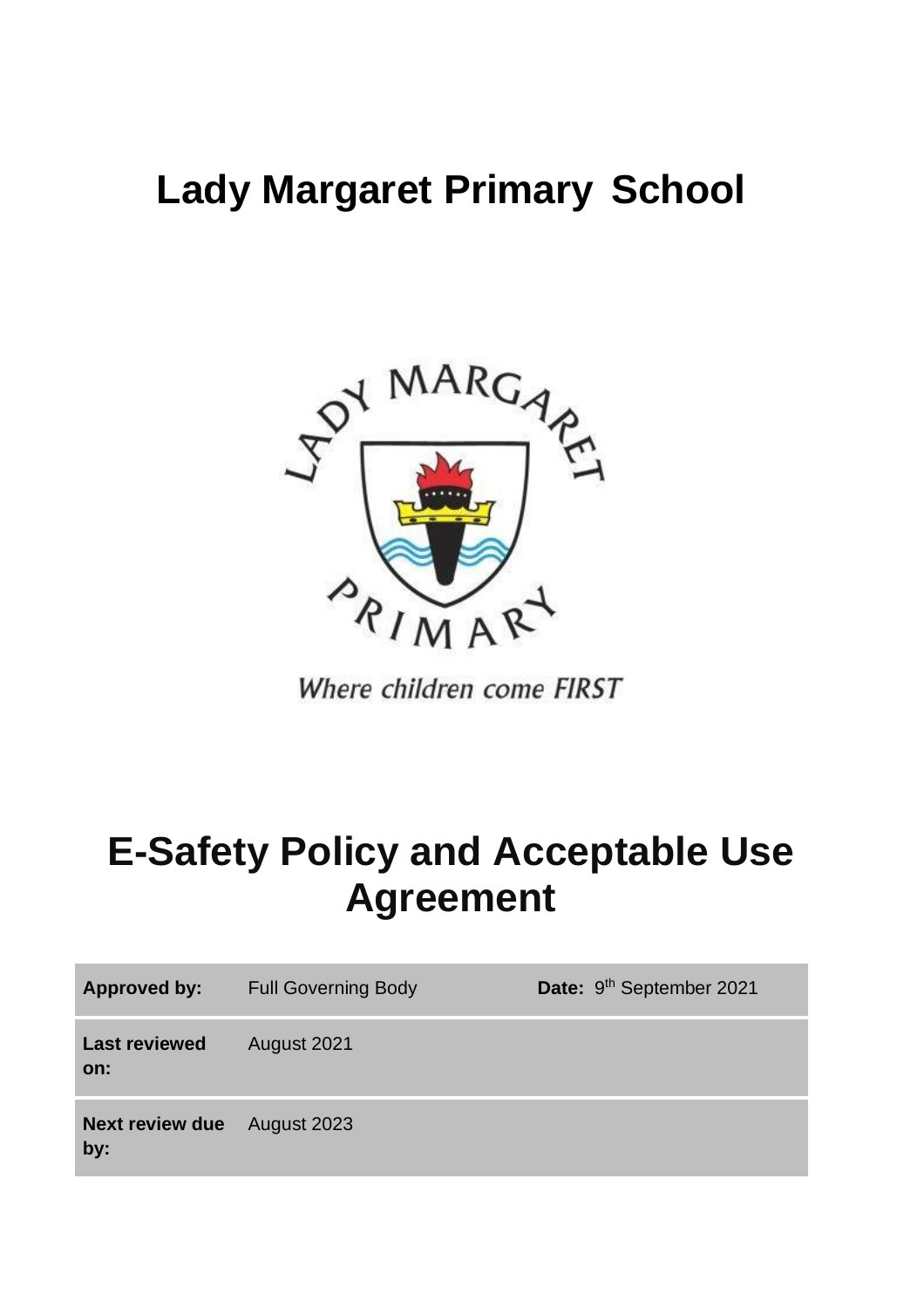# **Lady Margaret Primary School**



Where children come FIRST

# **E-Safety Policy and Acceptable Use Agreement**

| <b>Approved by:</b>           | <b>Full Governing Body</b> | Date: 9 <sup>th</sup> September 2021 |
|-------------------------------|----------------------------|--------------------------------------|
| <b>Last reviewed</b><br>on:   | August 2021                |                                      |
| <b>Next review due</b><br>by: | August 2023                |                                      |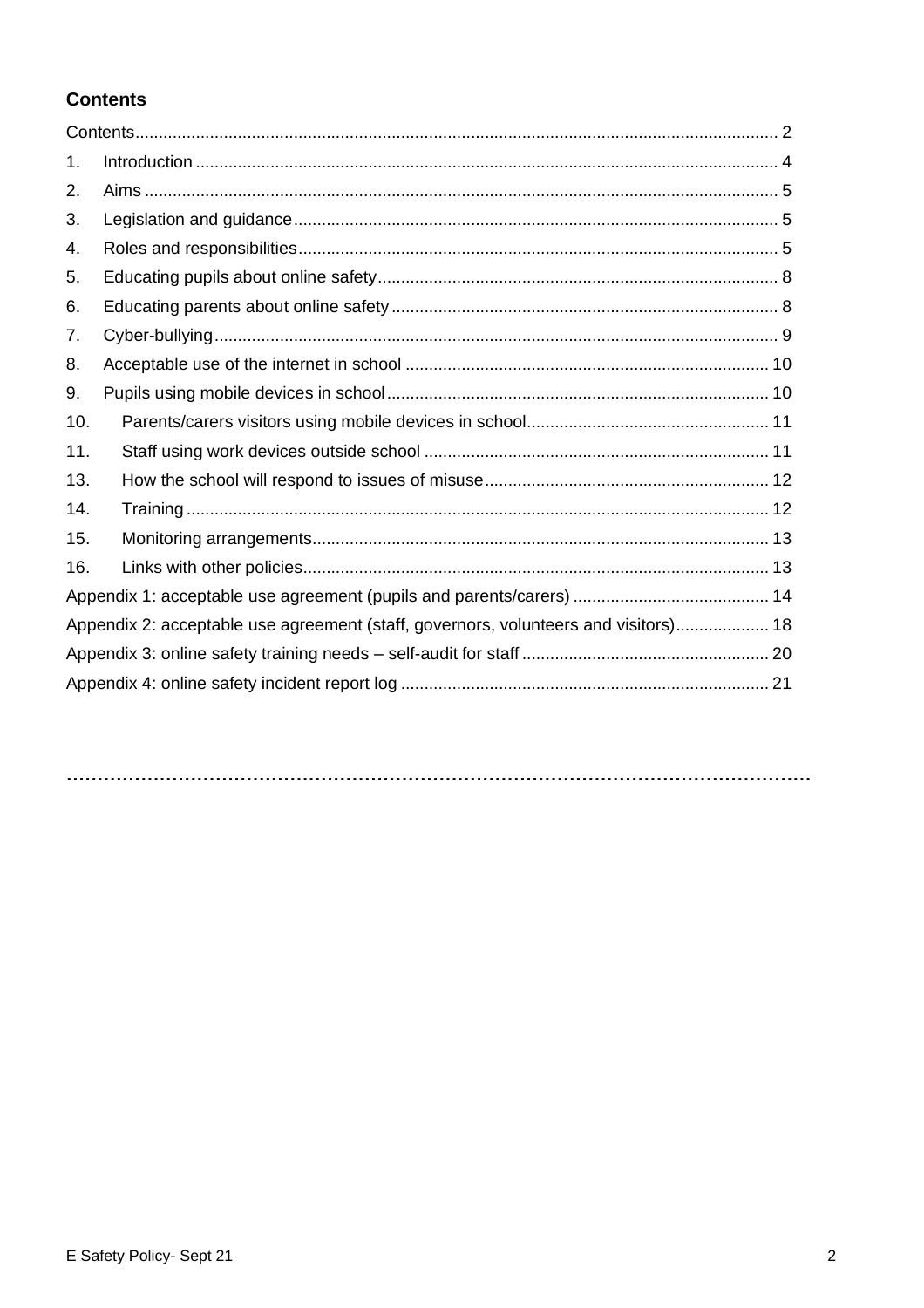## <span id="page-1-0"></span>**Contents**

| 1.  |                                                                                     |  |
|-----|-------------------------------------------------------------------------------------|--|
| 2.  |                                                                                     |  |
| 3.  |                                                                                     |  |
| 4.  |                                                                                     |  |
| 5.  |                                                                                     |  |
| 6.  |                                                                                     |  |
| 7.  |                                                                                     |  |
| 8.  |                                                                                     |  |
| 9.  |                                                                                     |  |
| 10. |                                                                                     |  |
| 11. |                                                                                     |  |
| 13. |                                                                                     |  |
| 14. |                                                                                     |  |
| 15. |                                                                                     |  |
| 16. |                                                                                     |  |
|     |                                                                                     |  |
|     | Appendix 2: acceptable use agreement (staff, governors, volunteers and visitors) 18 |  |
|     |                                                                                     |  |
|     |                                                                                     |  |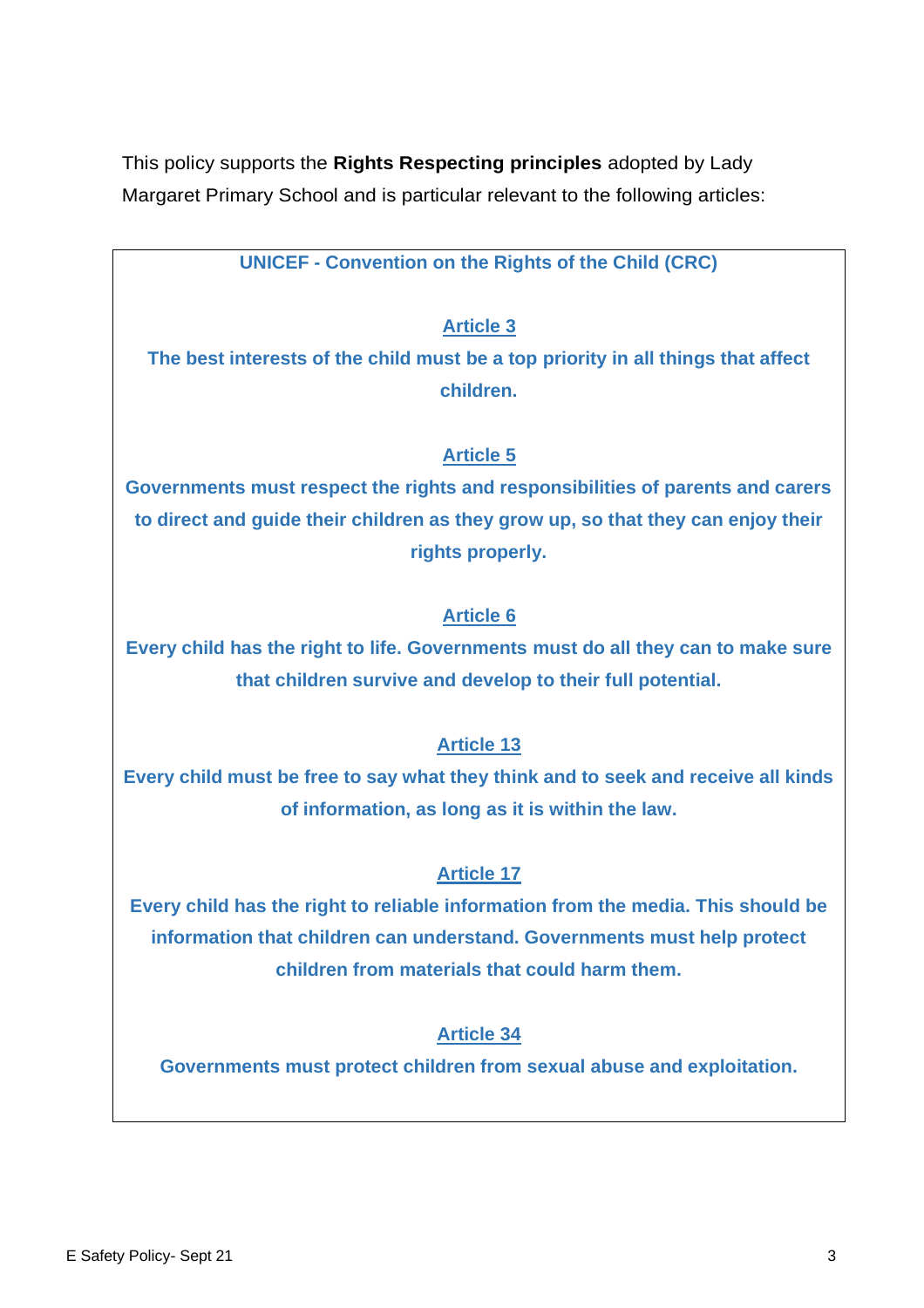This policy supports the **Rights Respecting principles** adopted by Lady Margaret Primary School and is particular relevant to the following articles:

**UNICEF - Convention on the Rights of the Child (CRC)** 

# **Article 3**

**The best interests of the child must be a top priority in all things that affect children.**

# **Article 5**

**Governments must respect the rights and responsibilities of parents and carers to direct and guide their children as they grow up, so that they can enjoy their rights properly.**

# **Article 6**

**Every child has the right to life. Governments must do all they can to make sure that children survive and develop to their full potential.**

# **Article 13**

**Every child must be free to say what they think and to seek and receive all kinds of information, as long as it is within the law.**

## **Article 17**

**Every child has the right to reliable information from the media. This should be information that children can understand. Governments must help protect children from materials that could harm them.**

# **Article 34**

**Governments must protect children from sexual abuse and exploitation.**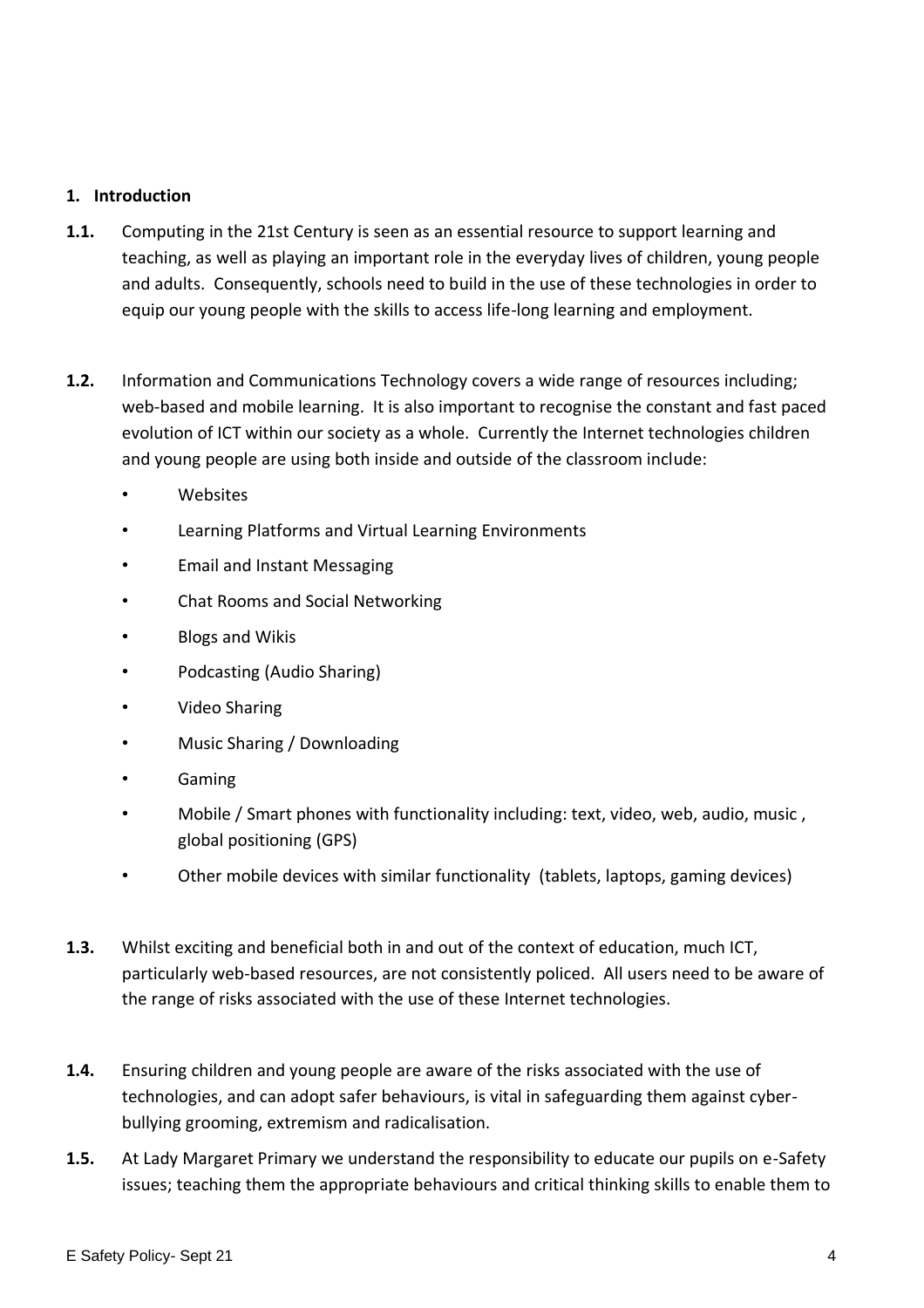#### <span id="page-3-0"></span>**1. Introduction**

- **1.1.** Computing in the 21st Century is seen as an essential resource to support learning and teaching, as well as playing an important role in the everyday lives of children, young people and adults. Consequently, schools need to build in the use of these technologies in order to equip our young people with the skills to access life-long learning and employment.
- **1.2.** Information and Communications Technology covers a wide range of resources including; web-based and mobile learning. It is also important to recognise the constant and fast paced evolution of ICT within our society as a whole. Currently the Internet technologies children and young people are using both inside and outside of the classroom include:
	- Websites
	- Learning Platforms and Virtual Learning Environments
	- Email and Instant Messaging
	- Chat Rooms and Social Networking
	- Blogs and Wikis
	- Podcasting (Audio Sharing)
	- Video Sharing
	- Music Sharing / Downloading
	- Gaming
	- Mobile / Smart phones with functionality including: text, video, web, audio, music , global positioning (GPS)
	- Other mobile devices with similar functionality (tablets, laptops, gaming devices)
- **1.3.** Whilst exciting and beneficial both in and out of the context of education, much ICT, particularly web-based resources, are not consistently policed. All users need to be aware of the range of risks associated with the use of these Internet technologies.
- **1.4.** Ensuring children and young people are aware of the risks associated with the use of technologies, and can adopt safer behaviours, is vital in safeguarding them against cyberbullying grooming, extremism and radicalisation.
- **1.5.** At Lady Margaret Primary we understand the responsibility to educate our pupils on e-Safety issues; teaching them the appropriate behaviours and critical thinking skills to enable them to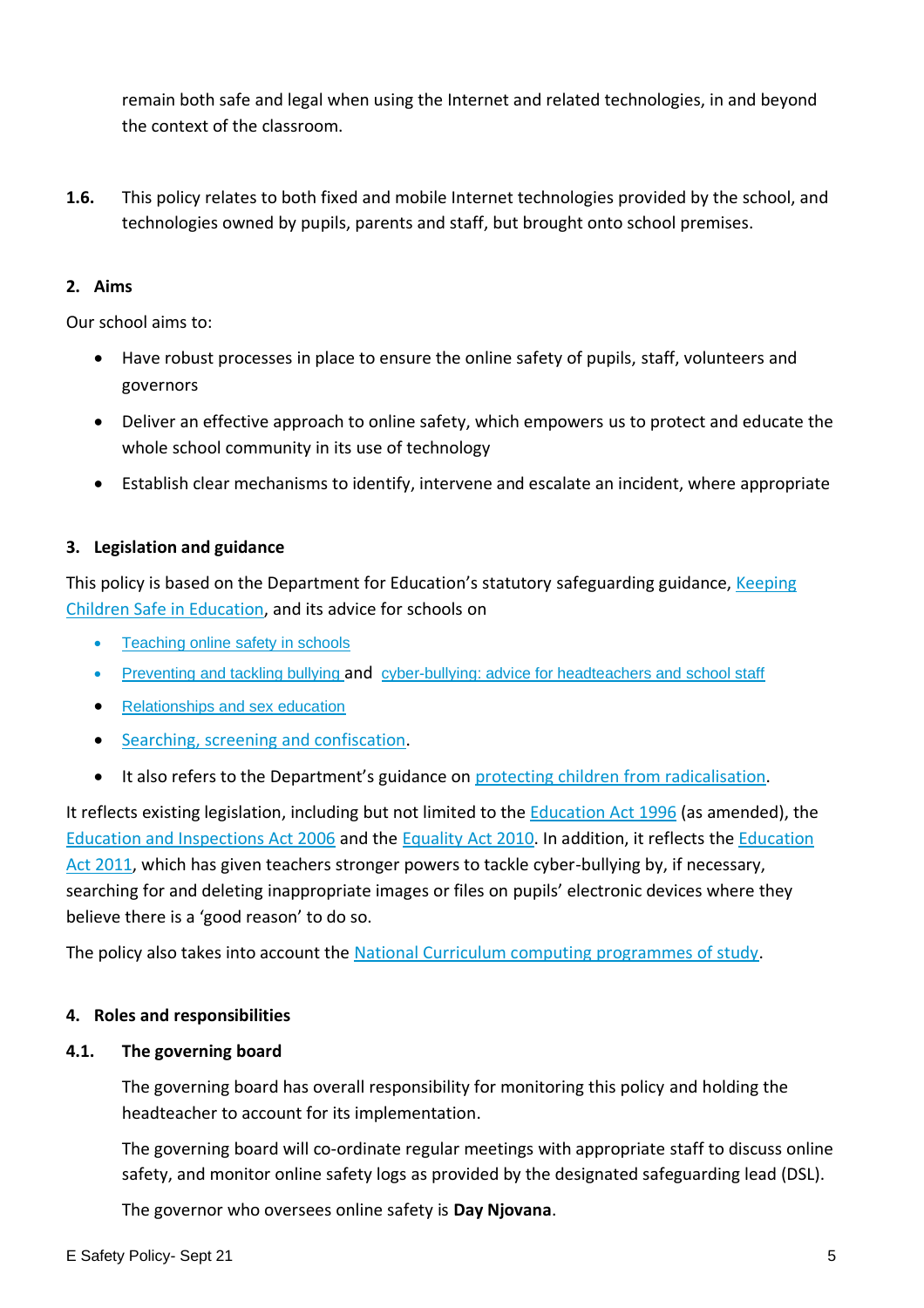remain both safe and legal when using the Internet and related technologies, in and beyond the context of the classroom.

**1.6.** This policy relates to both fixed and mobile Internet technologies provided by the school, and technologies owned by pupils, parents and staff, but brought onto school premises.

### <span id="page-4-0"></span>**2. Aims**

Our school aims to:

- Have robust processes in place to ensure the online safety of pupils, staff, volunteers and governors
- Deliver an effective approach to online safety, which empowers us to protect and educate the whole school community in its use of technology
- Establish clear mechanisms to identify, intervene and escalate an incident, where appropriate

## <span id="page-4-1"></span>**3. Legislation and guidance**

This policy is based on the Department for Education's statutory safeguarding guidance, Keeping [Children Safe in Education,](https://www.gov.uk/government/publications/keeping-children-safe-in-education--2) and its advice for schools on

- [Teaching online safety in schools](https://www.gov.uk/government/publications/teaching-online-safety-in-schools)
- [Preventing and tackling bullying](https://www.gov.uk/government/publications/preventing-and-tackling-bullying) and [cyber-bullying: advice for headteachers and school staff](https://www.gov.uk/government/publications/preventing-and-tackling-bullying)
- [Relationships and sex education](https://www.gov.uk/government/publications/relationships-education-relationships-and-sex-education-rse-and-health-education)
- [Searching, screening and confiscation.](https://www.gov.uk/government/publications/searching-screening-and-confiscation)
- It also refers to the Department's guidance on protecting children [from radicalisation.](https://www.gov.uk/government/publications/protecting-children-from-radicalisation-the-prevent-duty)

It reflects existing legislation, including but not limited to the [Education Act 1996](https://www.legislation.gov.uk/ukpga/1996/56/contents) (as amended), the [Education and Inspections Act 2006](https://www.legislation.gov.uk/ukpga/2006/40/contents) and the [Equality Act 2010.](https://www.legislation.gov.uk/ukpga/2010/15/contents) In addition, it reflects the [Education](http://www.legislation.gov.uk/ukpga/2011/21/contents/enacted)  [Act 2011,](http://www.legislation.gov.uk/ukpga/2011/21/contents/enacted) which has given teachers stronger powers to tackle cyber-bullying by, if necessary, searching for and deleting inappropriate images or files on pupils' electronic devices where they believe there is a 'good reason' to do so.

The policy also takes into account the [National Curriculum computing programmes of study.](https://www.gov.uk/government/publications/national-curriculum-in-england-computing-programmes-of-study)

#### <span id="page-4-2"></span>**4. Roles and responsibilities**

#### **4.1. The governing board**

The governing board has overall responsibility for monitoring this policy and holding the headteacher to account for its implementation.

The governing board will co-ordinate regular meetings with appropriate staff to discuss online safety, and monitor online safety logs as provided by the designated safeguarding lead (DSL).

The governor who oversees online safety is **Day Njovana**.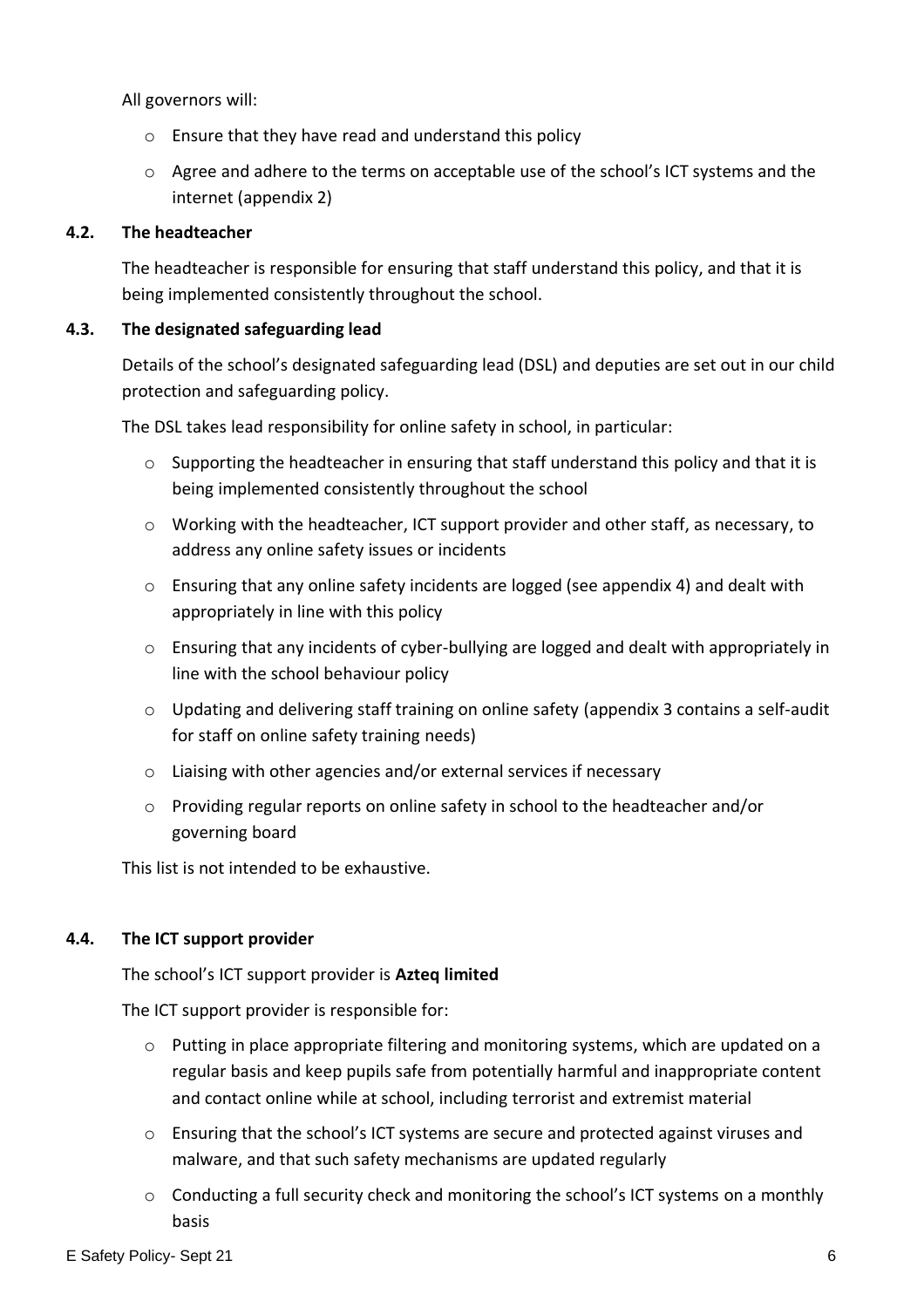All governors will:

- o Ensure that they have read and understand this policy
- o Agree and adhere to the terms on acceptable use of the school's ICT systems and the internet (appendix 2)

### **4.2. The headteacher**

The headteacher is responsible for ensuring that staff understand this policy, and that it is being implemented consistently throughout the school.

#### **4.3. The designated safeguarding lead**

Details of the school's designated safeguarding lead (DSL) and deputies are set out in our child protection and safeguarding policy.

The DSL takes lead responsibility for online safety in school, in particular:

- $\circ$  Supporting the headteacher in ensuring that staff understand this policy and that it is being implemented consistently throughout the school
- o Working with the headteacher, ICT support provider and other staff, as necessary, to address any online safety issues or incidents
- o Ensuring that any online safety incidents are logged (see appendix 4) and dealt with appropriately in line with this policy
- o Ensuring that any incidents of cyber-bullying are logged and dealt with appropriately in line with the school behaviour policy
- $\circ$  Updating and delivering staff training on online safety (appendix 3 contains a self-audit for staff on online safety training needs)
- o Liaising with other agencies and/or external services if necessary
- o Providing regular reports on online safety in school to the headteacher and/or governing board

This list is not intended to be exhaustive.

## **4.4. The ICT support provider**

The school's ICT support provider is **Azteq limited** 

The ICT support provider is responsible for:

- $\circ$  Putting in place appropriate filtering and monitoring systems, which are updated on a regular basis and keep pupils safe from potentially harmful and inappropriate content and contact online while at school, including terrorist and extremist material
- $\circ$  Ensuring that the school's ICT systems are secure and protected against viruses and malware, and that such safety mechanisms are updated regularly
- $\circ$  Conducting a full security check and monitoring the school's ICT systems on a monthly basis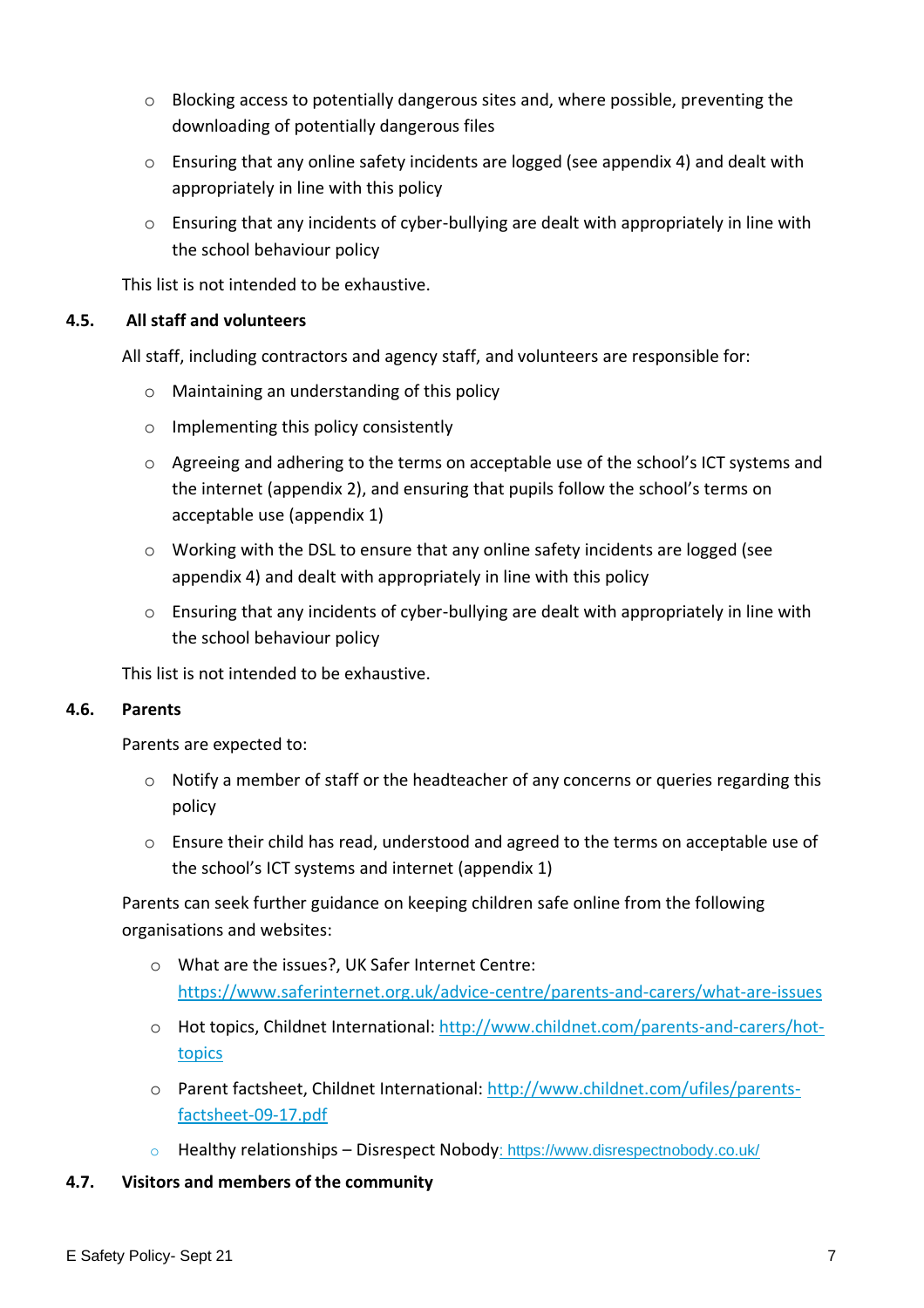- $\circ$  Blocking access to potentially dangerous sites and, where possible, preventing the downloading of potentially dangerous files
- $\circ$  Ensuring that any online safety incidents are logged (see appendix 4) and dealt with appropriately in line with this policy
- o Ensuring that any incidents of cyber-bullying are dealt with appropriately in line with the school behaviour policy

This list is not intended to be exhaustive.

## **4.5. All staff and volunteers**

All staff, including contractors and agency staff, and volunteers are responsible for:

- o Maintaining an understanding of this policy
- o Implementing this policy consistently
- $\circ$  Agreeing and adhering to the terms on acceptable use of the school's ICT systems and the internet (appendix 2), and ensuring that pupils follow the school's terms on acceptable use (appendix 1)
- o Working with the DSL to ensure that any online safety incidents are logged (see appendix 4) and dealt with appropriately in line with this policy
- o Ensuring that any incidents of cyber-bullying are dealt with appropriately in line with the school behaviour policy

This list is not intended to be exhaustive.

#### **4.6. Parents**

Parents are expected to:

- $\circ$  Notify a member of staff or the headteacher of any concerns or queries regarding this policy
- $\circ$  Ensure their child has read, understood and agreed to the terms on acceptable use of the school's ICT systems and internet (appendix 1)

Parents can seek further guidance on keeping children safe online from the following organisations and websites:

- o What are the issues?, UK Safer Internet Centre: <https://www.saferinternet.org.uk/advice-centre/parents-and-carers/what-are-issues>
- o Hot topics, Childnet International: [http://www.childnet.com/parents-and-carers/hot](http://www.childnet.com/parents-and-carers/hot-topics)[topics](http://www.childnet.com/parents-and-carers/hot-topics)
- o Parent factsheet, Childnet International: [http://www.childnet.com/ufiles/parents](http://www.childnet.com/ufiles/parents-factsheet-09-17.pdf)[factsheet-09-17.pdf](http://www.childnet.com/ufiles/parents-factsheet-09-17.pdf)
- o Healthy relationships [Disrespect Nobody](https://www.disrespectnobody.co.uk/): https://www.disrespectnobody.co.uk/

#### **4.7. Visitors and members of the community**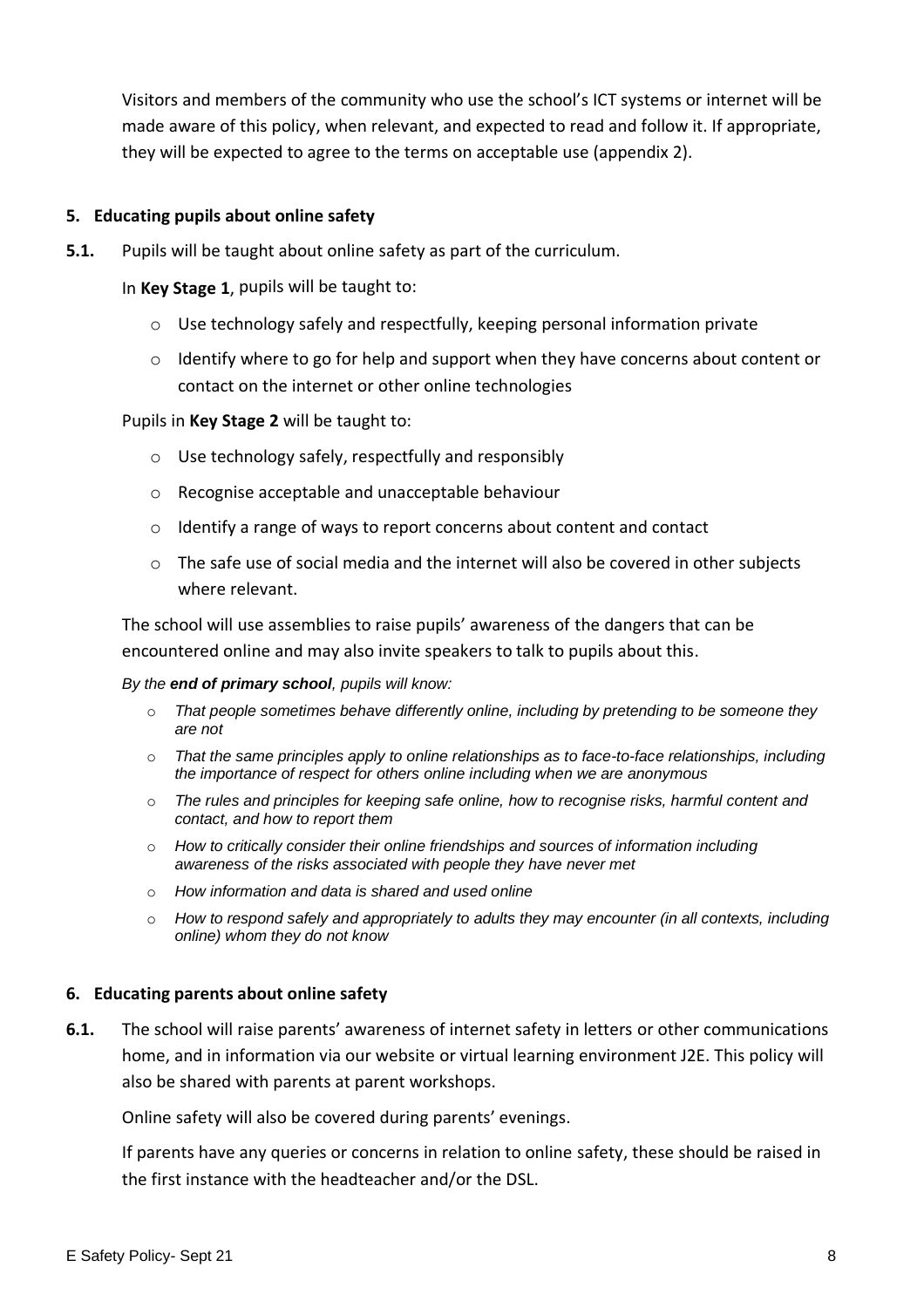Visitors and members of the community who use the school's ICT systems or internet will be made aware of this policy, when relevant, and expected to read and follow it. If appropriate, they will be expected to agree to the terms on acceptable use (appendix 2).

#### <span id="page-7-0"></span>**5. Educating pupils about online safety**

**5.1.** Pupils will be taught about online safety as part of the curriculum.

In **Key Stage 1**, pupils will be taught to:

- o Use technology safely and respectfully, keeping personal information private
- o Identify where to go for help and support when they have concerns about content or contact on the internet or other online technologies

#### Pupils in **Key Stage 2** will be taught to:

- o Use technology safely, respectfully and responsibly
- o Recognise acceptable and unacceptable behaviour
- o Identify a range of ways to report concerns about content and contact
- $\circ$  The safe use of social media and the internet will also be covered in other subjects where relevant.

The school will use assemblies to raise pupils' awareness of the dangers that can be encountered online and may also invite speakers to talk to pupils about this.

#### *By the end of primary school, pupils will know:*

- o *That people sometimes behave differently online, including by pretending to be someone they are not*
- o *That the same principles apply to online relationships as to face-to-face relationships, including the importance of respect for others online including when we are anonymous*
- o *The rules and principles for keeping safe online, how to recognise risks, harmful content and contact, and how to report them*
- o *How to critically consider their online friendships and sources of information including awareness of the risks associated with people they have never met*
- o *How information and data is shared and used online*
- o *How to respond safely and appropriately to adults they may encounter (in all contexts, including online) whom they do not know*

#### <span id="page-7-1"></span>**6. Educating parents about online safety**

**6.1.** The school will raise parents' awareness of internet safety in letters or other communications home, and in information via our website or virtual learning environment J2E. This policy will also be shared with parents at parent workshops.

Online safety will also be covered during parents' evenings.

If parents have any queries or concerns in relation to online safety, these should be raised in the first instance with the headteacher and/or the DSL.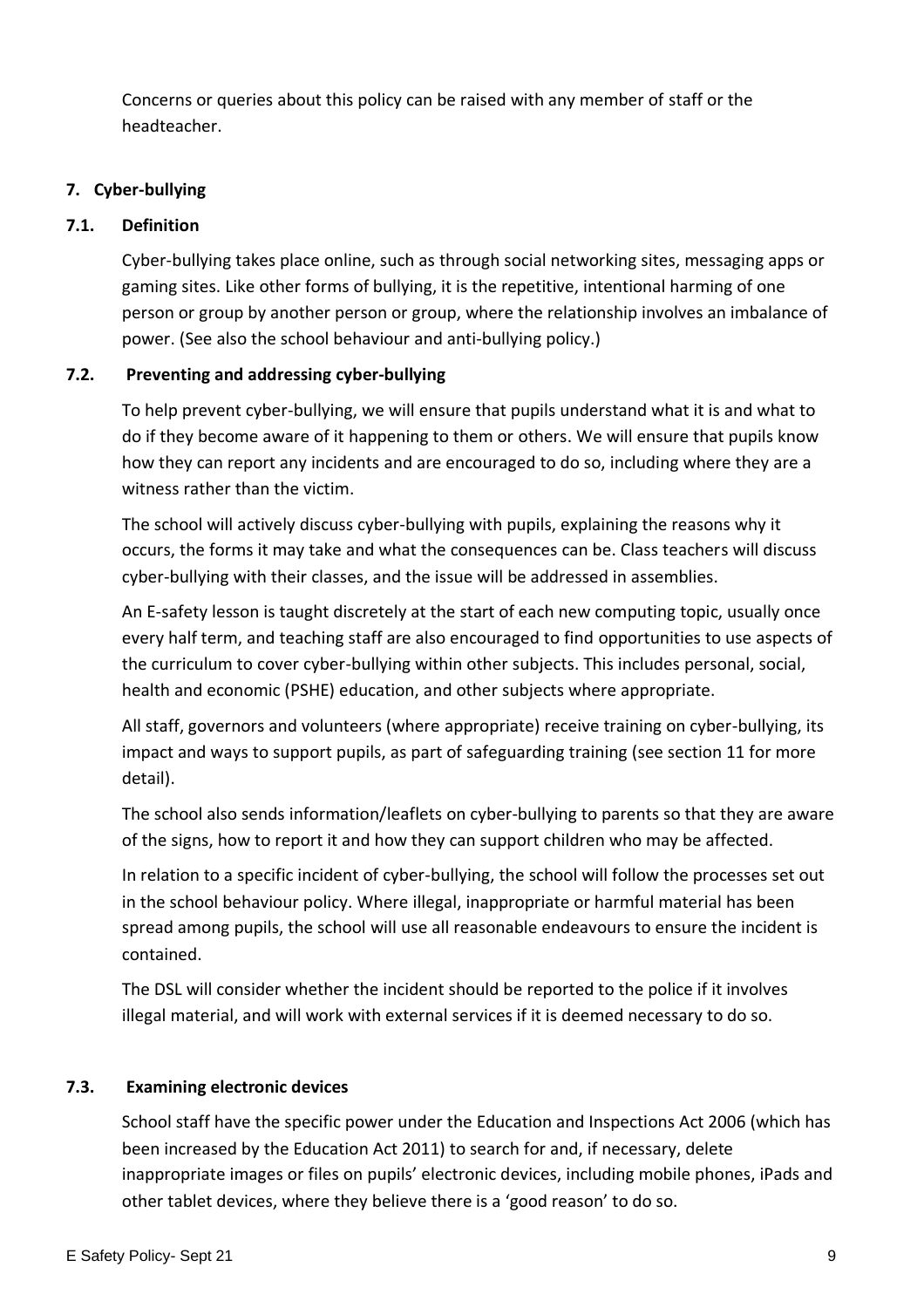Concerns or queries about this policy can be raised with any member of staff or the headteacher.

## <span id="page-8-0"></span>**7. Cyber-bullying**

## **7.1. Definition**

Cyber-bullying takes place online, such as through social networking sites, messaging apps or gaming sites. Like other forms of bullying, it is the repetitive, intentional harming of one person or group by another person or group, where the relationship involves an imbalance of power. (See also the school behaviour and anti-bullying policy.)

## **7.2. Preventing and addressing cyber-bullying**

To help prevent cyber-bullying, we will ensure that pupils understand what it is and what to do if they become aware of it happening to them or others. We will ensure that pupils know how they can report any incidents and are encouraged to do so, including where they are a witness rather than the victim.

The school will actively discuss cyber-bullying with pupils, explaining the reasons why it occurs, the forms it may take and what the consequences can be. Class teachers will discuss cyber-bullying with their classes, and the issue will be addressed in assemblies.

An E-safety lesson is taught discretely at the start of each new computing topic, usually once every half term, and teaching staff are also encouraged to find opportunities to use aspects of the curriculum to cover cyber-bullying within other subjects. This includes personal, social, health and economic (PSHE) education, and other subjects where appropriate.

All staff, governors and volunteers (where appropriate) receive training on cyber-bullying, its impact and ways to support pupils, as part of safeguarding training (see section 11 for more detail).

The school also sends information/leaflets on cyber-bullying to parents so that they are aware of the signs, how to report it and how they can support children who may be affected.

In relation to a specific incident of cyber-bullying, the school will follow the processes set out in the school behaviour policy. Where illegal, inappropriate or harmful material has been spread among pupils, the school will use all reasonable endeavours to ensure the incident is contained.

The DSL will consider whether the incident should be reported to the police if it involves illegal material, and will work with external services if it is deemed necessary to do so.

## **7.3. Examining electronic devices**

School staff have the specific power under the Education and Inspections Act 2006 (which has been increased by the Education Act 2011) to search for and, if necessary, delete inappropriate images or files on pupils' electronic devices, including mobile phones, iPads and other tablet devices, where they believe there is a 'good reason' to do so.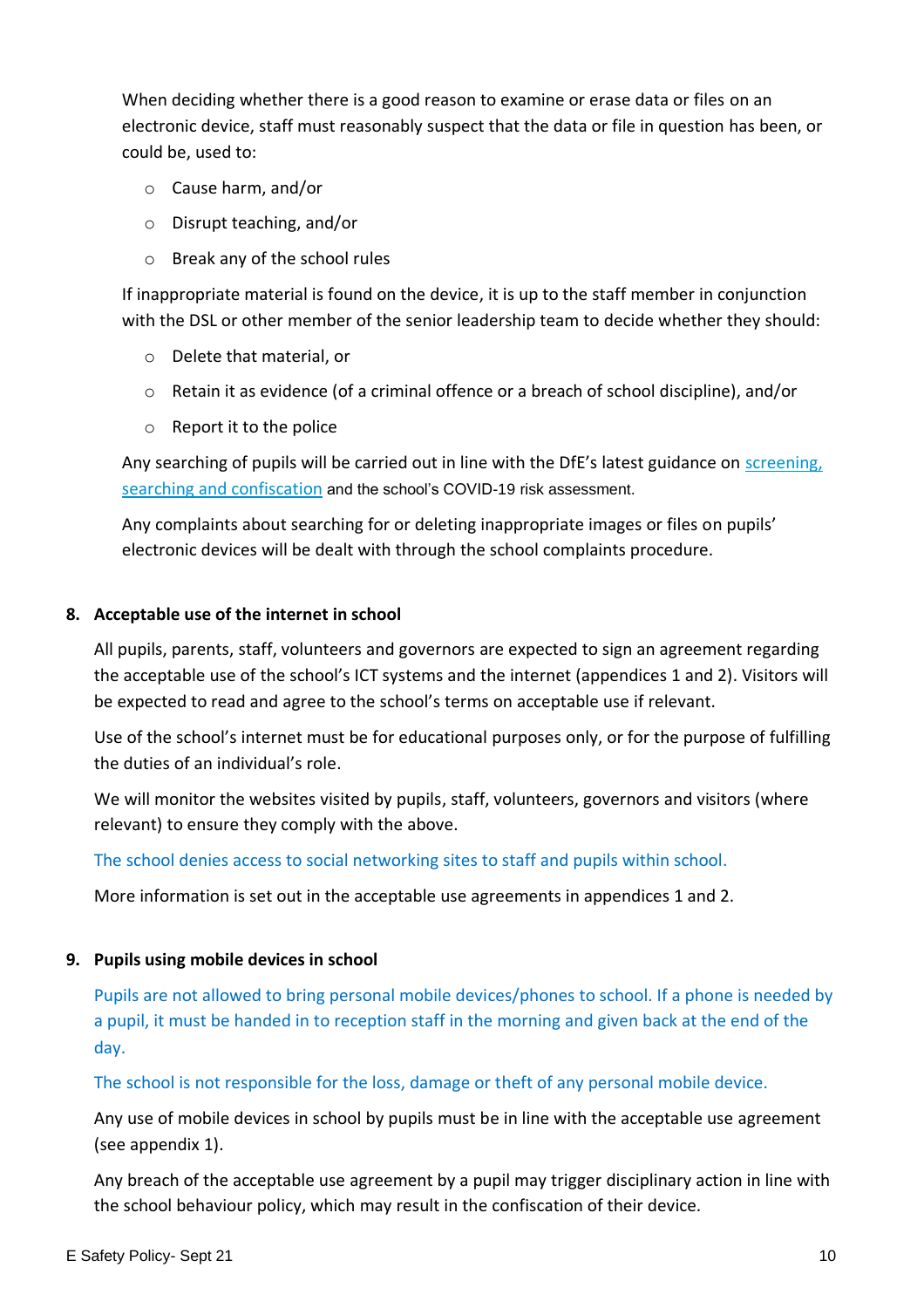When deciding whether there is a good reason to examine or erase data or files on an electronic device, staff must reasonably suspect that the data or file in question has been, or could be, used to:

- o Cause harm, and/or
- o Disrupt teaching, and/or
- o Break any of the school rules

If inappropriate material is found on the device, it is up to the staff member in conjunction with the DSL or other member of the senior leadership team to decide whether they should:

- o Delete that material, or
- o Retain it as evidence (of a criminal offence or a breach of school discipline), and/or
- o Report it to the police

Any searching of pupils will be carried out in line with the DfE's latest guidance on screening, [searching and confiscation](https://www.gov.uk/government/publications/searching-screening-and-confiscation) and the school's COVID-19 risk assessment.

Any complaints about searching for or deleting inappropriate images or files on pupils' electronic devices will be dealt with through the school complaints procedure.

#### <span id="page-9-0"></span>**8. Acceptable use of the internet in school**

All pupils, parents, staff, volunteers and governors are expected to sign an agreement regarding the acceptable use of the school's ICT systems and the internet (appendices 1 and 2). Visitors will be expected to read and agree to the school's terms on acceptable use if relevant.

Use of the school's internet must be for educational purposes only, or for the purpose of fulfilling the duties of an individual's role.

We will monitor the websites visited by pupils, staff, volunteers, governors and visitors (where relevant) to ensure they comply with the above.

The school denies access to social networking sites to staff and pupils within school.

More information is set out in the acceptable use agreements in appendices 1 and 2.

#### <span id="page-9-1"></span>**9. Pupils using mobile devices in school**

Pupils are not allowed to bring personal mobile devices/phones to school. If a phone is needed by a pupil, it must be handed in to reception staff in the morning and given back at the end of the day.

The school is not responsible for the loss, damage or theft of any personal mobile device.

Any use of mobile devices in school by pupils must be in line with the acceptable use agreement (see appendix 1).

Any breach of the acceptable use agreement by a pupil may trigger disciplinary action in line with the school behaviour policy, which may result in the confiscation of their device.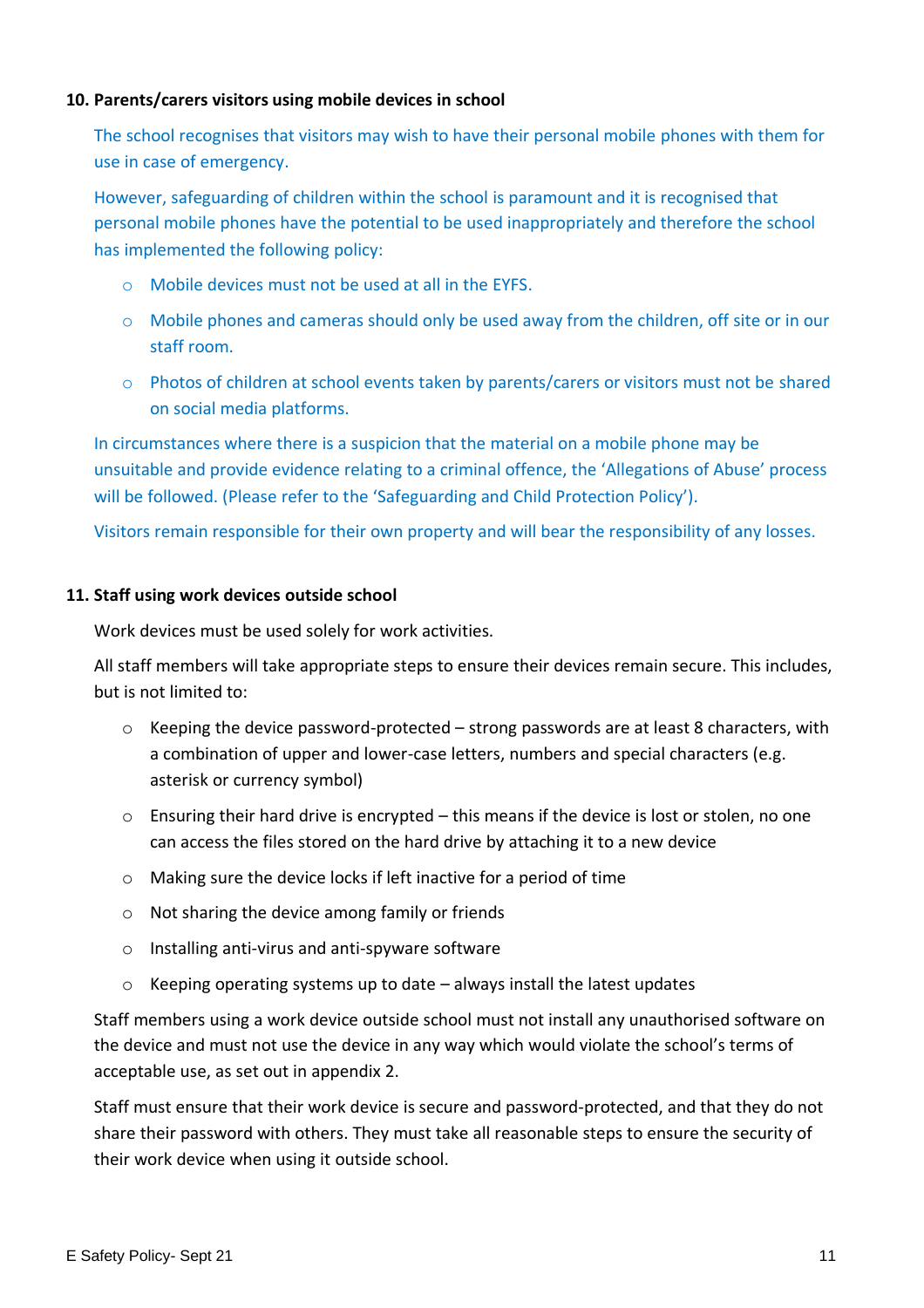#### <span id="page-10-0"></span>**10. Parents/carers visitors using mobile devices in school**

The school recognises that visitors may wish to have their personal mobile phones with them for use in case of emergency.

However, safeguarding of children within the school is paramount and it is recognised that personal mobile phones have the potential to be used inappropriately and therefore the school has implemented the following policy:

- o Mobile devices must not be used at all in the EYFS.
- o Mobile phones and cameras should only be used away from the children, off site or in our staff room.
- o Photos of children at school events taken by parents/carers or visitors must not be shared on social media platforms.

In circumstances where there is a suspicion that the material on a mobile phone may be unsuitable and provide evidence relating to a criminal offence, the 'Allegations of Abuse' process will be followed. (Please refer to the 'Safeguarding and Child Protection Policy').

Visitors remain responsible for their own property and will bear the responsibility of any losses.

#### <span id="page-10-1"></span>**11. Staff using work devices outside school**

Work devices must be used solely for work activities.

All staff members will take appropriate steps to ensure their devices remain secure. This includes, but is not limited to:

- $\circ$  Keeping the device password-protected strong passwords are at least 8 characters, with a combination of upper and lower-case letters, numbers and special characters (e.g. asterisk or currency symbol)
- $\circ$  Ensuring their hard drive is encrypted this means if the device is lost or stolen, no one can access the files stored on the hard drive by attaching it to a new device
- o Making sure the device locks if left inactive for a period of time
- o Not sharing the device among family or friends
- o Installing anti-virus and anti-spyware software
- $\circ$  Keeping operating systems up to date always install the latest updates

Staff members using a work device outside school must not install any unauthorised software on the device and must not use the device in any way which would violate the school's terms of acceptable use, as set out in appendix 2.

Staff must ensure that their work device is secure and password-protected, and that they do not share their password with others. They must take all reasonable steps to ensure the security of their work device when using it outside school.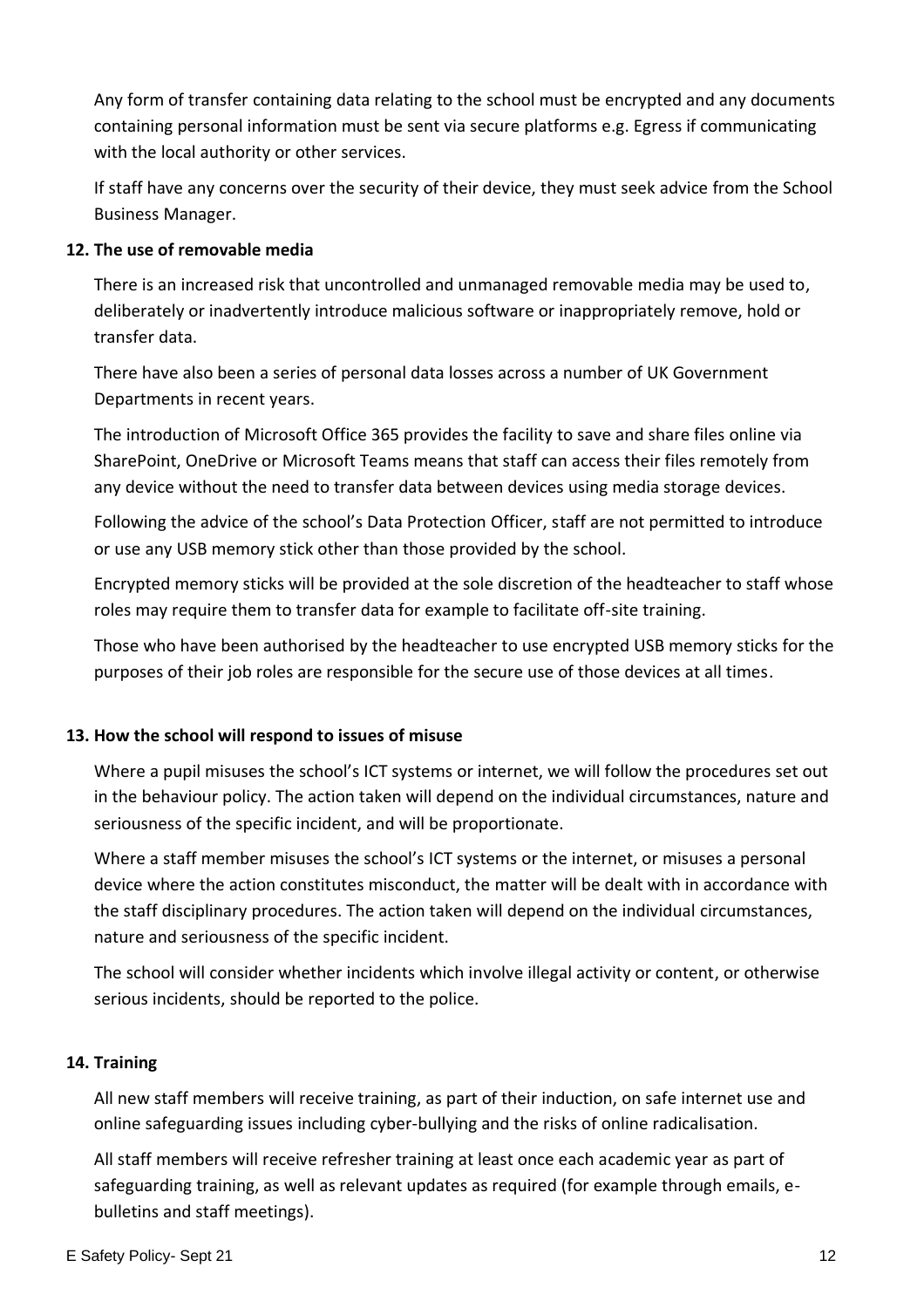Any form of transfer containing data relating to the school must be encrypted and any documents containing personal information must be sent via secure platforms e.g. Egress if communicating with the local authority or other services.

If staff have any concerns over the security of their device, they must seek advice from the School Business Manager.

#### **12. The use of removable media**

There is an increased risk that uncontrolled and unmanaged removable media may be used to, deliberately or inadvertently introduce malicious software or inappropriately remove, hold or transfer data.

There have also been a series of personal data losses across a number of UK Government Departments in recent years.

The introduction of Microsoft Office 365 provides the facility to save and share files online via SharePoint, OneDrive or Microsoft Teams means that staff can access their files remotely from any device without the need to transfer data between devices using media storage devices.

Following the advice of the school's Data Protection Officer, staff are not permitted to introduce or use any USB memory stick other than those provided by the school.

Encrypted memory sticks will be provided at the sole discretion of the headteacher to staff whose roles may require them to transfer data for example to facilitate off-site training.

Those who have been authorised by the headteacher to use encrypted USB memory sticks for the purposes of their job roles are responsible for the secure use of those devices at all times.

#### <span id="page-11-0"></span>**13. How the school will respond to issues of misuse**

Where a pupil misuses the school's ICT systems or internet, we will follow the procedures set out in the behaviour policy. The action taken will depend on the individual circumstances, nature and seriousness of the specific incident, and will be proportionate.

Where a staff member misuses the school's ICT systems or the internet, or misuses a personal device where the action constitutes misconduct, the matter will be dealt with in accordance with the staff disciplinary procedures. The action taken will depend on the individual circumstances, nature and seriousness of the specific incident.

The school will consider whether incidents which involve illegal activity or content, or otherwise serious incidents, should be reported to the police.

#### <span id="page-11-1"></span>**14. Training**

All new staff members will receive training, as part of their induction, on safe internet use and online safeguarding issues including cyber-bullying and the risks of online radicalisation.

All staff members will receive refresher training at least once each academic year as part of safeguarding training, as well as relevant updates as required (for example through emails, ebulletins and staff meetings).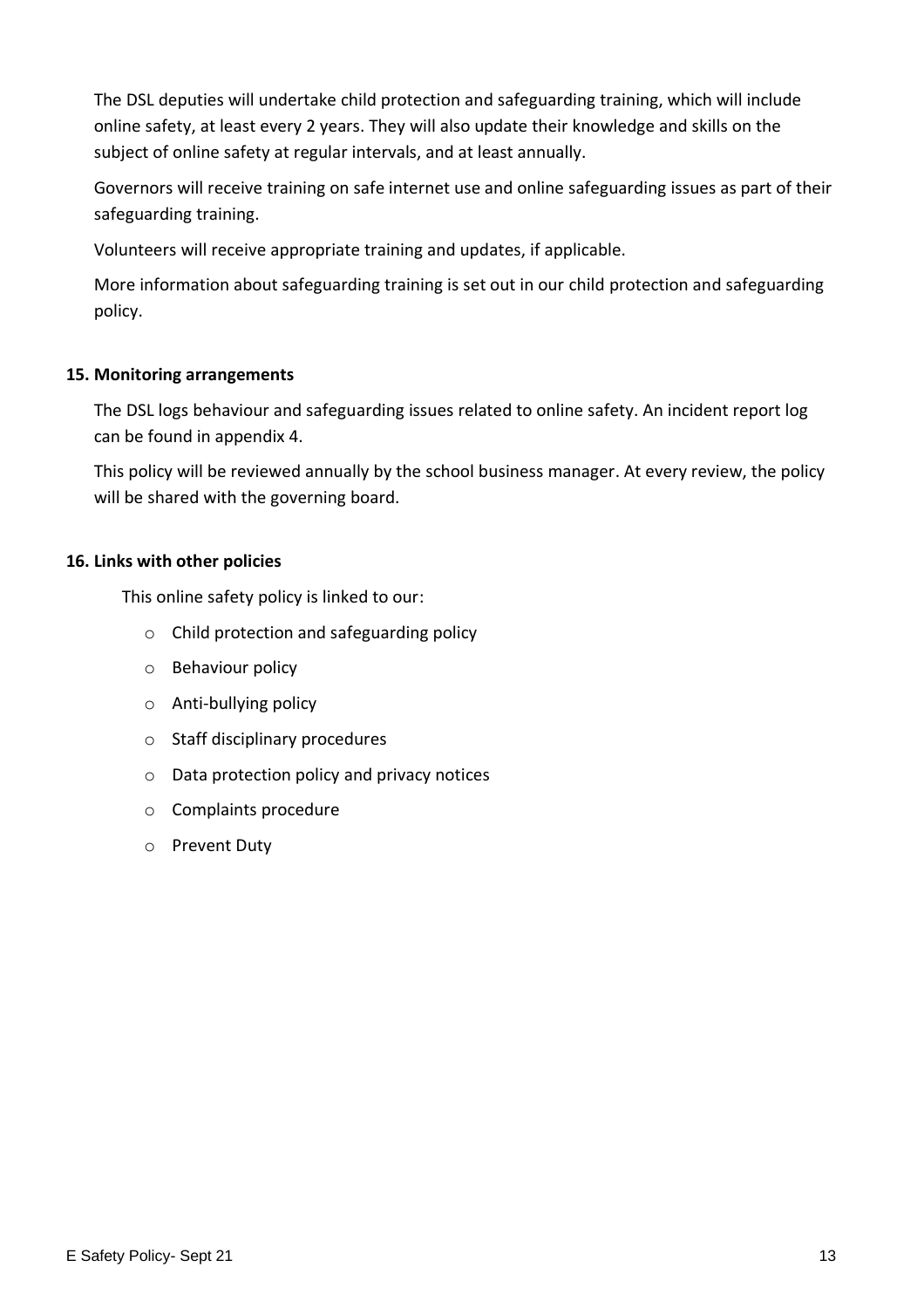The DSL deputies will undertake child protection and safeguarding training, which will include online safety, at least every 2 years. They will also update their knowledge and skills on the subject of online safety at regular intervals, and at least annually.

Governors will receive training on safe internet use and online safeguarding issues as part of their safeguarding training.

Volunteers will receive appropriate training and updates, if applicable.

More information about safeguarding training is set out in our child protection and safeguarding policy.

#### <span id="page-12-0"></span>**15. Monitoring arrangements**

The DSL logs behaviour and safeguarding issues related to online safety. An incident report log can be found in appendix 4.

This policy will be reviewed annually by the school business manager. At every review, the policy will be shared with the governing board.

## <span id="page-12-1"></span>**16. Links with other policies**

This online safety policy is linked to our:

- o Child protection and safeguarding policy
- o Behaviour policy
- o Anti-bullying policy
- o Staff disciplinary procedures
- o Data protection policy and privacy notices
- o Complaints procedure
- o Prevent Duty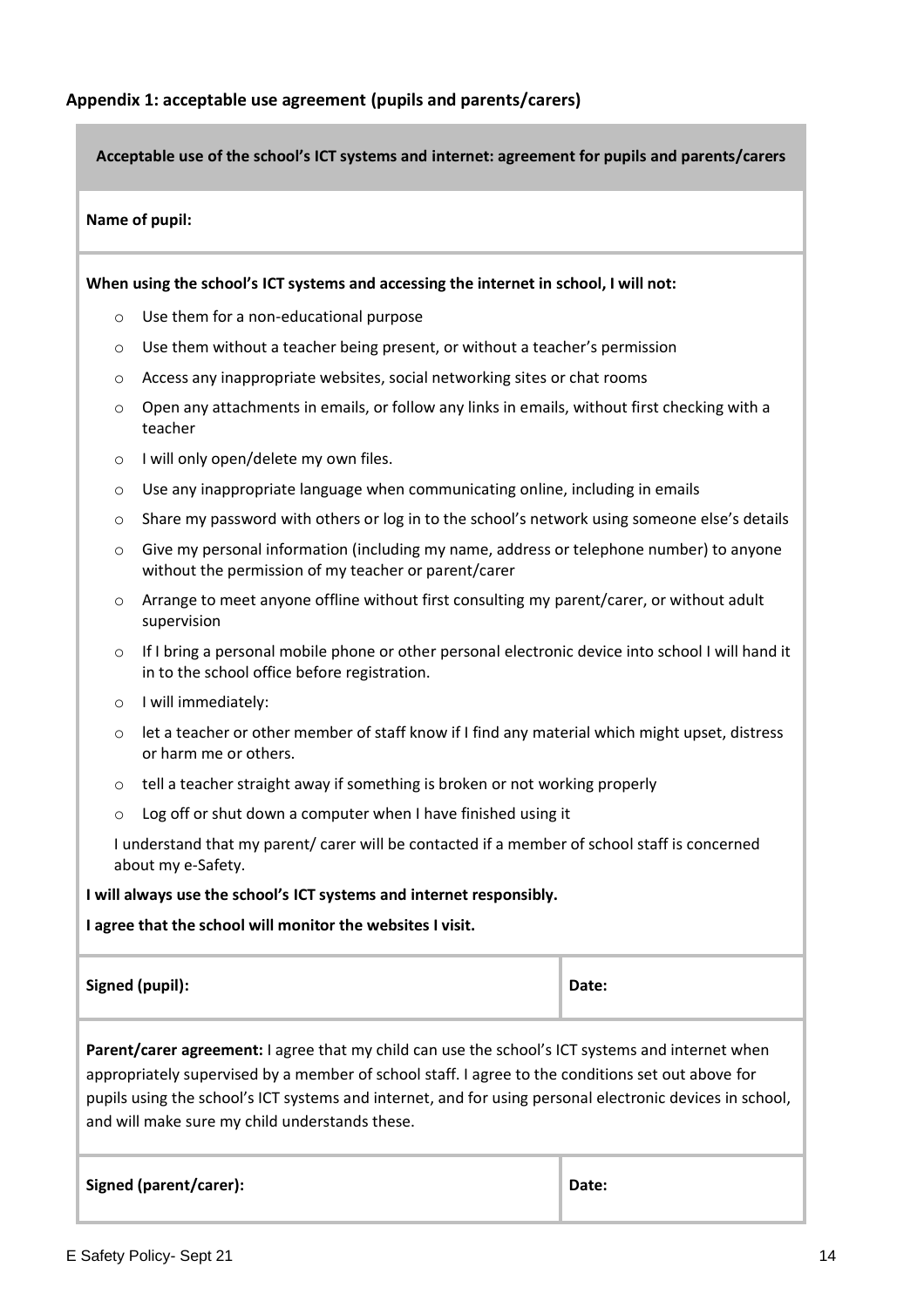<span id="page-13-0"></span>**Acceptable use of the school's ICT systems and internet: agreement for pupils and parents/carers**

#### **Name of pupil:**

**When using the school's ICT systems and accessing the internet in school, I will not:** 

- o Use them for a non-educational purpose
- o Use them without a teacher being present, or without a teacher's permission
- o Access any inappropriate websites, social networking sites or chat rooms
- $\circ$  Open any attachments in emails, or follow any links in emails, without first checking with a teacher
- o I will only open/delete my own files.
- $\circ$  Use any inappropriate language when communicating online, including in emails
- $\circ$  Share my password with others or log in to the school's network using someone else's details
- $\circ$  Give my personal information (including my name, address or telephone number) to anyone without the permission of my teacher or parent/carer
- o Arrange to meet anyone offline without first consulting my parent/carer, or without adult supervision
- o If I bring a personal mobile phone or other personal electronic device into school I will hand it in to the school office before registration.
- o I will immediately:
- $\circ$  let a teacher or other member of staff know if I find any material which might upset, distress or harm me or others.
- $\circ$  tell a teacher straight away if something is broken or not working properly
- o Log off or shut down a computer when I have finished using it

I understand that my parent/ carer will be contacted if a member of school staff is concerned about my e-Safety.

**I will always use the school's ICT systems and internet responsibly.**

**I agree that the school will monitor the websites I visit.**

| Signed (pupil): | Date: |
|-----------------|-------|
|                 |       |

**Parent/carer agreement:** I agree that my child can use the school's ICT systems and internet when appropriately supervised by a member of school staff. I agree to the conditions set out above for pupils using the school's ICT systems and internet, and for using personal electronic devices in school, and will make sure my child understands these.

**Signed (parent/carer): Date:**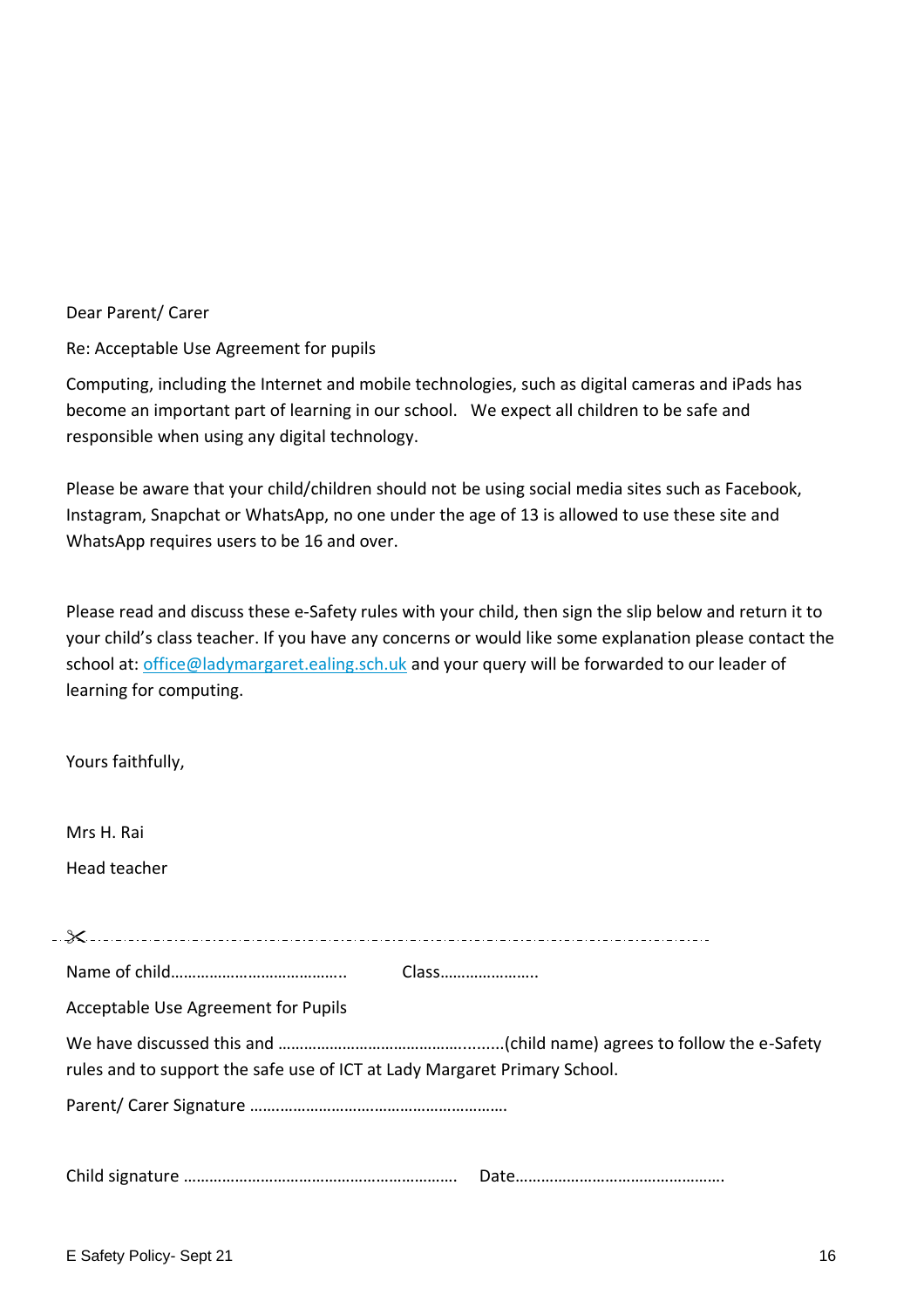#### Dear Parent/ Carer

Re: Acceptable Use Agreement for pupils

Computing, including the Internet and mobile technologies, such as digital cameras and iPads has become an important part of learning in our school. We expect all children to be safe and responsible when using any digital technology.

Please be aware that your child/children should not be using social media sites such as Facebook, Instagram, Snapchat or WhatsApp, no one under the age of 13 is allowed to use these site and WhatsApp requires users to be 16 and over.

Please read and discuss these e-Safety rules with your child, then sign the slip below and return it to your child's class teacher. If you have any concerns or would like some explanation please contact the school at: [office@ladymargaret.ealing.sch.uk](mailto:office@ladymargaret.ealing.sch.uk) and your query will be forwarded to our leader of learning for computing.

| Mrs H. Rai                                                                |  |
|---------------------------------------------------------------------------|--|
| Head teacher                                                              |  |
|                                                                           |  |
|                                                                           |  |
| Class                                                                     |  |
| Acceptable Use Agreement for Pupils                                       |  |
| rules and to support the safe use of ICT at Lady Margaret Primary School. |  |
|                                                                           |  |
|                                                                           |  |
|                                                                           |  |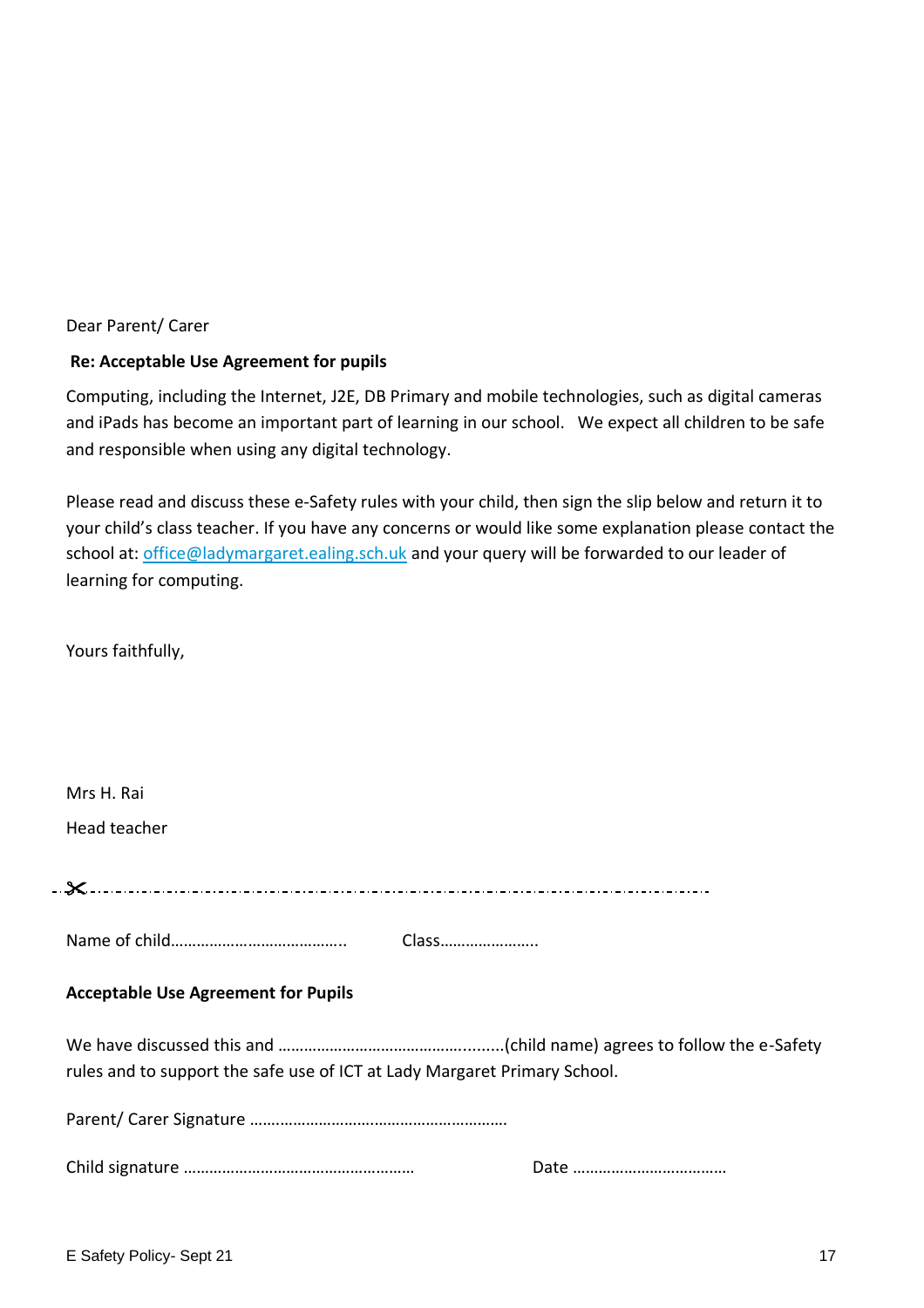#### Dear Parent/ Carer

#### **Re: Acceptable Use Agreement for pupils**

Computing, including the Internet, J2E, DB Primary and mobile technologies, such as digital cameras and iPads has become an important part of learning in our school. We expect all children to be safe and responsible when using any digital technology.

Please read and discuss these e-Safety rules with your child, then sign the slip below and return it to your child's class teacher. If you have any concerns or would like some explanation please contact the school at: [office@ladymargaret.ealing.sch.uk](mailto:office@ladymargaret.ealing.sch.uk) and your query will be forwarded to our leader of learning for computing.

Yours faithfully,

| Mrs H. Rai<br>Head teacher                                                |  |  |
|---------------------------------------------------------------------------|--|--|
|                                                                           |  |  |
| Class                                                                     |  |  |
| <b>Acceptable Use Agreement for Pupils</b>                                |  |  |
| rules and to support the safe use of ICT at Lady Margaret Primary School. |  |  |
|                                                                           |  |  |
|                                                                           |  |  |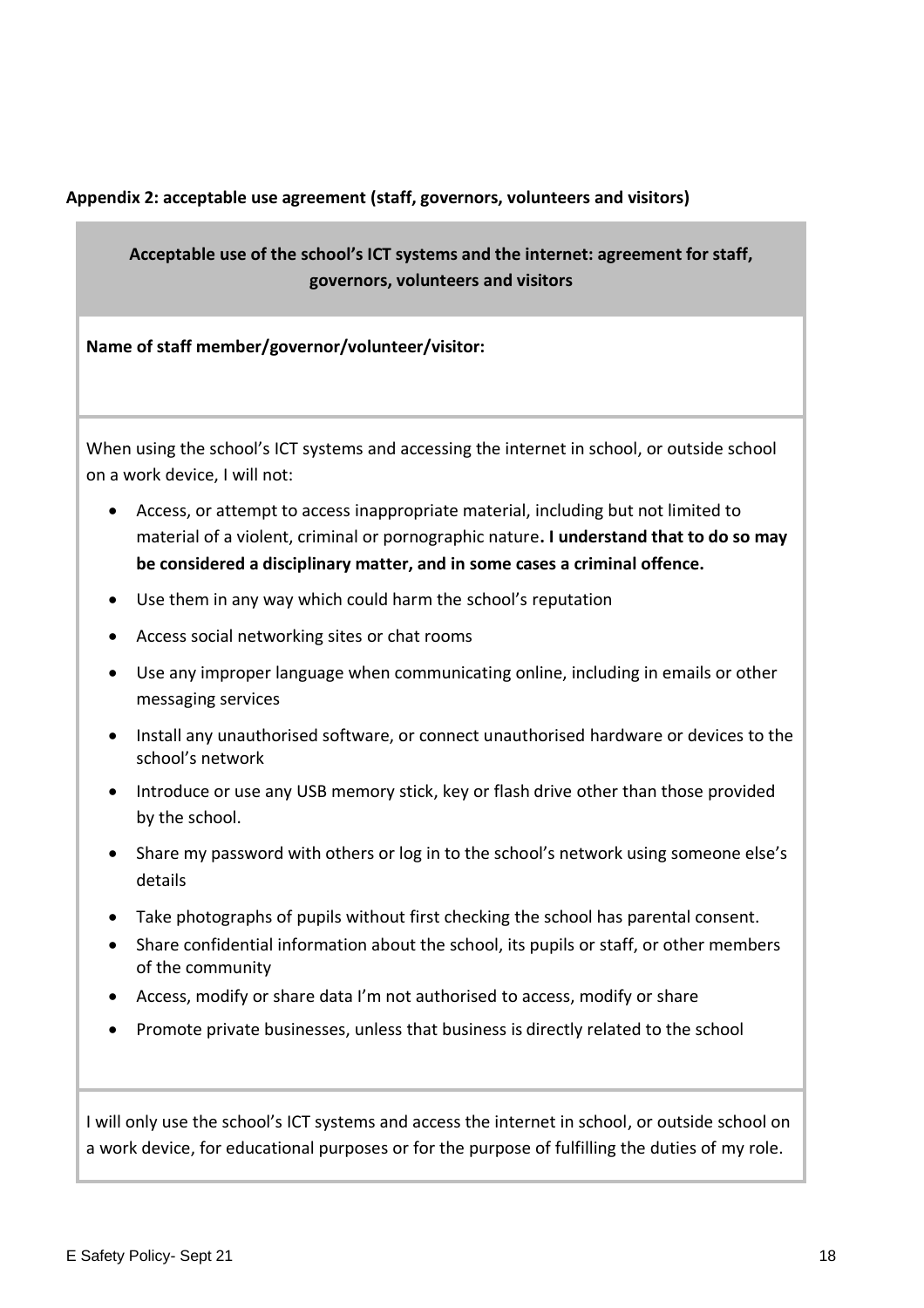#### <span id="page-17-0"></span>**Appendix 2: acceptable use agreement (staff, governors, volunteers and visitors)**

## **Acceptable use of the school's ICT systems and the internet: agreement for staff, governors, volunteers and visitors**

**Name of staff member/governor/volunteer/visitor:** 

When using the school's ICT systems and accessing the internet in school, or outside school on a work device, I will not:

- Access, or attempt to access inappropriate material, including but not limited to material of a violent, criminal or pornographic nature**. I understand that to do so may be considered a disciplinary matter, and in some cases a criminal offence.**
- Use them in any way which could harm the school's reputation
- Access social networking sites or chat rooms
- Use any improper language when communicating online, including in emails or other messaging services
- Install any unauthorised software, or connect unauthorised hardware or devices to the school's network
- Introduce or use any USB memory stick, key or flash drive other than those provided by the school.
- Share my password with others or log in to the school's network using someone else's details
- Take photographs of pupils without first checking the school has parental consent.
- Share confidential information about the school, its pupils or staff, or other members of the community
- Access, modify or share data I'm not authorised to access, modify or share
- Promote private businesses, unless that business is directly related to the school

I will only use the school's ICT systems and access the internet in school, or outside school on a work device, for educational purposes or for the purpose of fulfilling the duties of my role.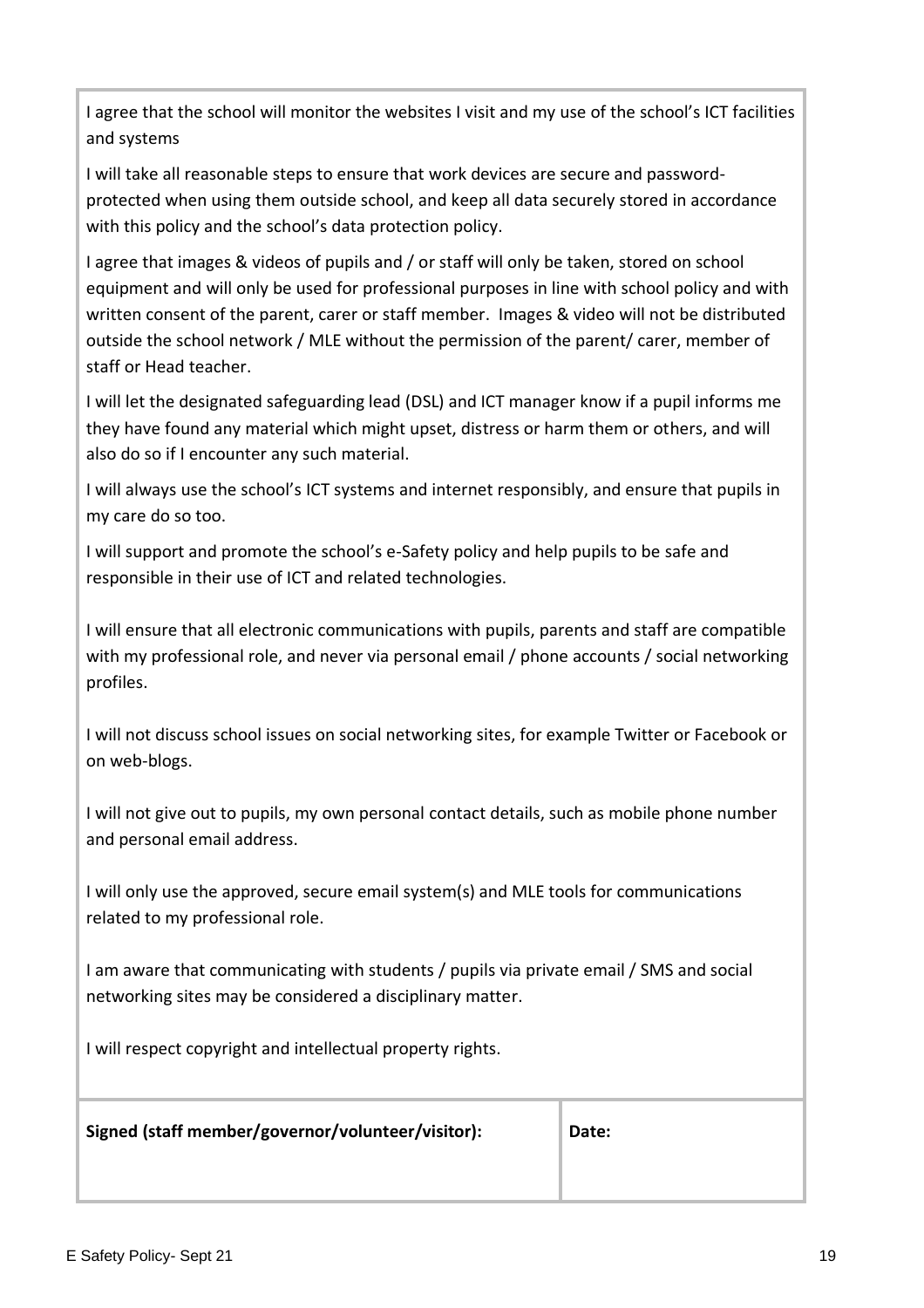I agree that the school will monitor the websites I visit and my use of the school's ICT facilities and systems

I will take all reasonable steps to ensure that work devices are secure and passwordprotected when using them outside school, and keep all data securely stored in accordance with this policy and the school's data protection policy.

I agree that images & videos of pupils and / or staff will only be taken, stored on school equipment and will only be used for professional purposes in line with school policy and with written consent of the parent, carer or staff member. Images & video will not be distributed outside the school network / MLE without the permission of the parent/ carer, member of staff or Head teacher.

I will let the designated safeguarding lead (DSL) and ICT manager know if a pupil informs me they have found any material which might upset, distress or harm them or others, and will also do so if I encounter any such material.

I will always use the school's ICT systems and internet responsibly, and ensure that pupils in my care do so too.

I will support and promote the school's e-Safety policy and help pupils to be safe and responsible in their use of ICT and related technologies.

I will ensure that all electronic communications with pupils, parents and staff are compatible with my professional role, and never via personal email / phone accounts / social networking profiles.

I will not discuss school issues on social networking sites, for example Twitter or Facebook or on web-blogs.

I will not give out to pupils, my own personal contact details, such as mobile phone number and personal email address.

I will only use the approved, secure email system(s) and MLE tools for communications related to my professional role.

I am aware that communicating with students / pupils via private email / SMS and social networking sites may be considered a disciplinary matter.

I will respect copyright and intellectual property rights.

**Signed (staff member/governor/volunteer/visitor): Date:**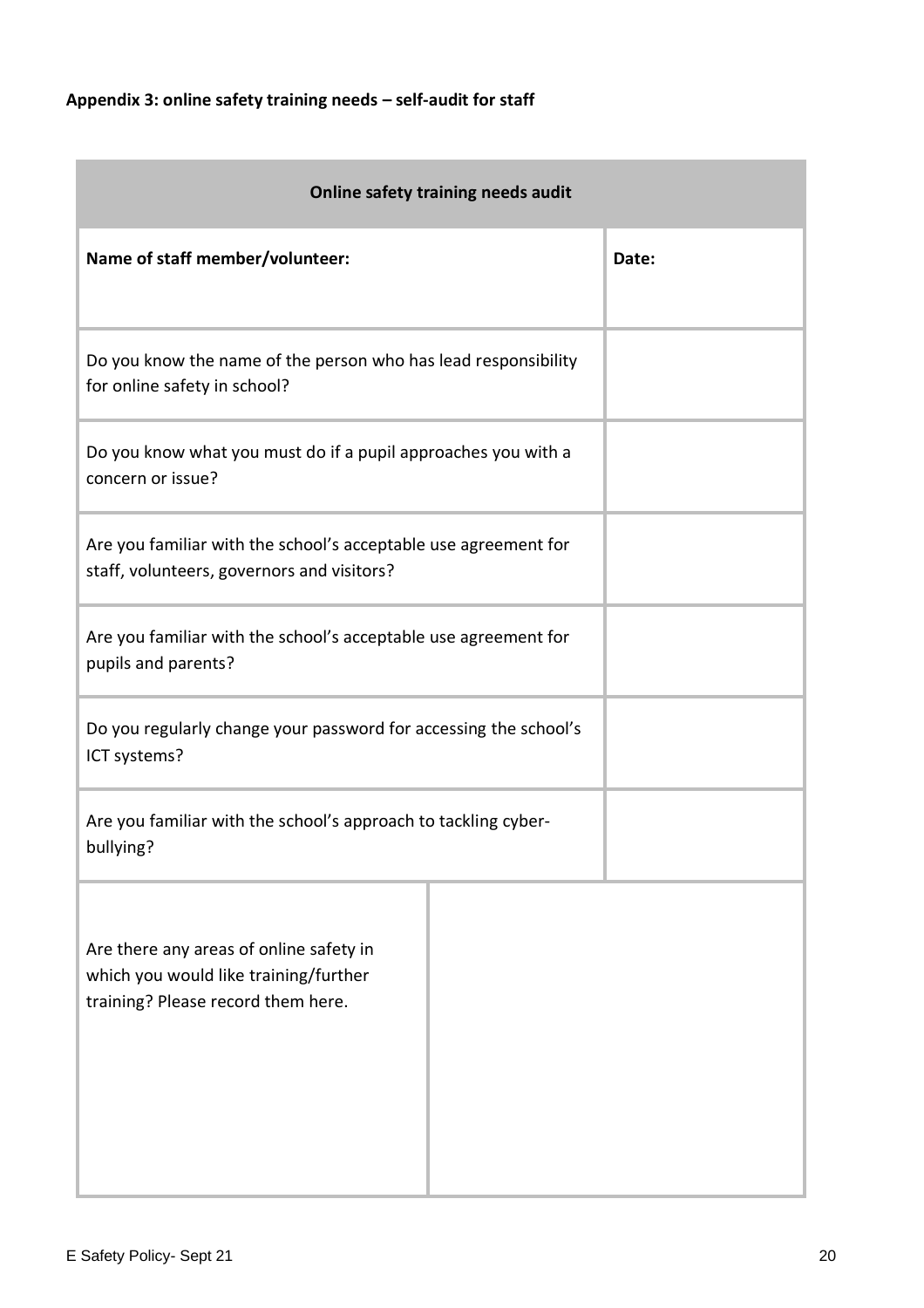# <span id="page-19-0"></span>**Appendix 3: online safety training needs – self-audit for staff**

| Online safety training needs audit                                                                                     |       |  |  |  |
|------------------------------------------------------------------------------------------------------------------------|-------|--|--|--|
| Name of staff member/volunteer:                                                                                        | Date: |  |  |  |
| Do you know the name of the person who has lead responsibility<br>for online safety in school?                         |       |  |  |  |
| Do you know what you must do if a pupil approaches you with a<br>concern or issue?                                     |       |  |  |  |
| Are you familiar with the school's acceptable use agreement for<br>staff, volunteers, governors and visitors?          |       |  |  |  |
| Are you familiar with the school's acceptable use agreement for<br>pupils and parents?                                 |       |  |  |  |
| Do you regularly change your password for accessing the school's<br>ICT systems?                                       |       |  |  |  |
| Are you familiar with the school's approach to tackling cyber-<br>bullying?                                            |       |  |  |  |
| Are there any areas of online safety in<br>which you would like training/further<br>training? Please record them here. |       |  |  |  |